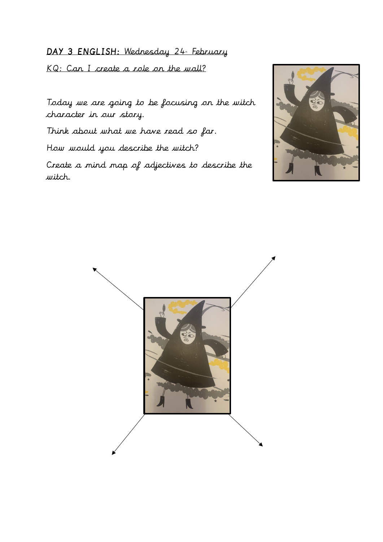## DAY 3 ENGLISH: Wednesday 24 Eebruary

KQ: Can I create a role on the wall?

Today we are going to be focusing on the witch character in our story.

Think about what we have read so far.

How would you describe the witch?

Create a mind map of adjectives to describe the witch.



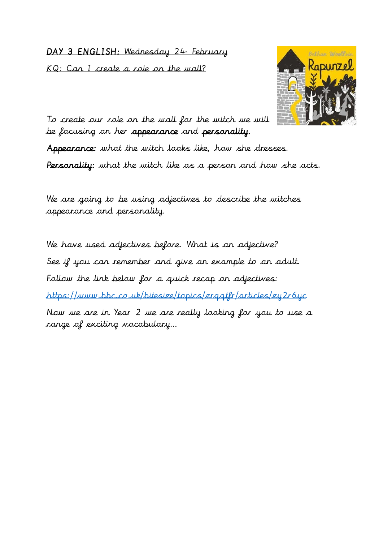DAY 3 ENGLISH: Wednesday 24 February KQ: Can I create a role on the wall?



To create our role on the wall for the witch we will be focusing on her appearance and personality.

Appearance: what the witch looks like, how she dresses. Personality: what the witch like as a person and how she acts.

We are going to be using adjectives to describe the witches appearance and personality.

We have used adjectives before. What is an adjective? See if you can remember and give an example to an adult. Follow the link below for a quick recap on adjectives: <https://www.bbc.co.uk/bitesize/topics/zrqqtfr/articles/zy2r6yc> Now we are in Year 2 we are really looking for you to use a range of exciting vocabulary…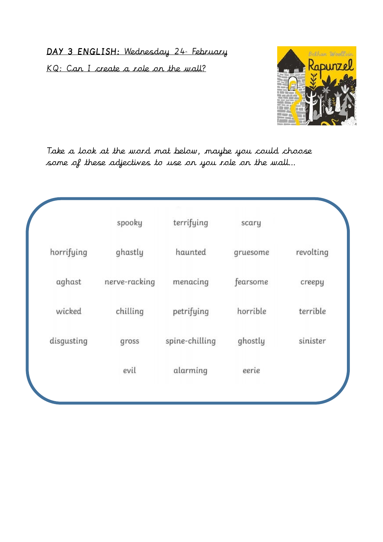DAY 3 ENGLISH: Wednesday 24 Eebruary KQ: Can I create a role on the wall?



Take a look at the word mat below, maybe you could choose some of these adjectives to use on you role on the wall…

|            | spooky        | terrifying     | scary    |           |
|------------|---------------|----------------|----------|-----------|
| horrifying | ghastly       | haunted        | gruesome | revolting |
| aghast     | nerve-racking | menacing       | fearsome | creepy    |
| wicked     | chilling      | petrifying     | horrible | terrible  |
| disgusting | gross         | spine-chilling | ghostly  | sinister  |
|            | evil          | alarming       | eerie    |           |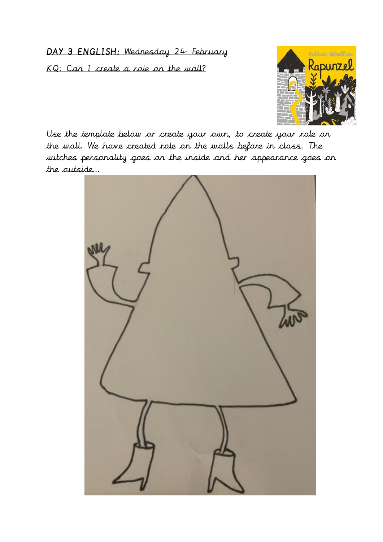DAY 3 ENGLISH: Wednesday 24 Eebruary KQ: Can I create a role on the wall?



Use the template below or create your own, to create your role on the wall. We have created role on the walls before in class. The witches personality goes on the inside and her appearance goes on the outside…

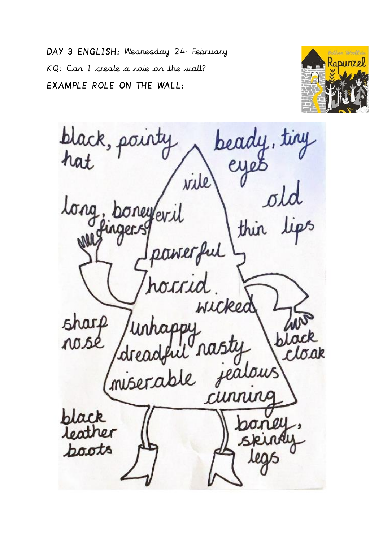DAY 3 ENGLISH: Wednesday 24 February KQ: Can I create a role on the wall? EXAMPLE ROLE ON THE WALL:



ly, tiny black, po.<br>hat eye vile tong lips thir horre black<br>Cloak rable miser cury black ገ 01 teather ىگر poots